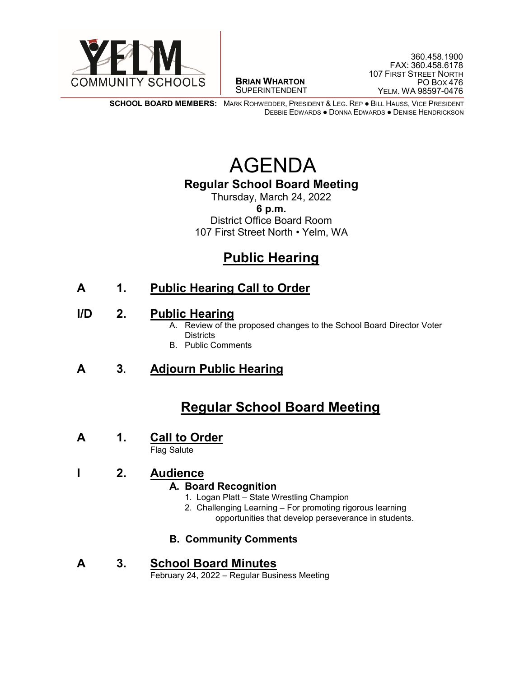

 $\overline{a}$ **BRIAN WHARTON** SUPERINTENDENT

**SCHOOL BOARD MEMBERS:** MARK ROHWEDDER, PRESIDENT & LEG. REP ● BILL HAUSS, VICE PRESIDENT DEBBIE EDWARDS ● DONNA EDWARDS ● DENISE HENDRICKSON

# AGENDA

#### **Regular School Board Meeting**

Thursday, March 24, 2022 **6 p.m.** District Office Board Room 107 First Street North • Yelm, WA

### **Public Hearing**

### **A 1. Public Hearing Call to Order**

- **I/D 2. Public Hearing**<br>A. Review of the proposed changes to the School Board Director Voter **Districts** 
	- B. Public Comments

#### **A 3. Adjourn Public Hearing**

### **Regular School Board Meeting**

# **<sup>A</sup> 1. Call to Order** Flag Salute

#### **I 2. Audience**

#### **A. Board Recognition**

- 1. Logan Platt State Wrestling Champion
- 2. Challenging Learning For promoting rigorous learning opportunities that develop perseverance in students.

#### **B. Community Comments**

# **A** 3. **School Board Minutes**<br>February 24, 2022 – Regular Business Meeting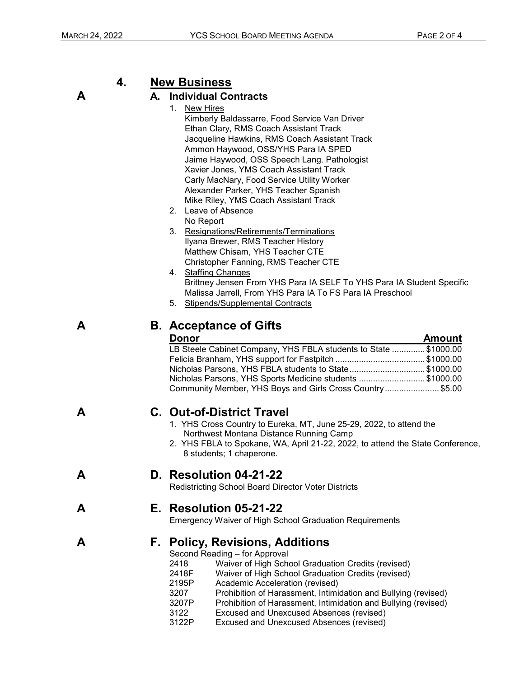#### **4. New Business**

#### **A A. Individual Contracts**

1. New Hires

Kimberly Baldassarre, Food Service Van Driver Ethan Clary, RMS Coach Assistant Track Jacqueline Hawkins, RMS Coach Assistant Track Ammon Haywood, OSS/YHS Para IA SPED Jaime Haywood, OSS Speech Lang. Pathologist Xavier Jones, YMS Coach Assistant Track Carly MacNary, Food Service Utility Worker Alexander Parker, YHS Teacher Spanish Mike Riley, YMS Coach Assistant Track

- 2. Leave of Absence No Report
- 3. Resignations/Retirements/Terminations Ilyana Brewer, RMS Teacher History Matthew Chisam, YHS Teacher CTE Christopher Fanning, RMS Teacher CTE
- 4. Staffing Changes Brittney Jensen From YHS Para IA SELF To YHS Para IA Student Specific Malissa Jarrell, From YHS Para IA To FS Para IA Preschool
- 5. Stipends/Supplemental Contracts

#### **A B. Acceptance of Gifts**

| <b>Donor</b>                                                    | <b>Amount</b> |
|-----------------------------------------------------------------|---------------|
| LB Steele Cabinet Company, YHS FBLA students to State \$1000.00 |               |
| Felicia Branham, YHS support for Fastpitch \$1000.00            |               |
| Nicholas Parsons, YHS FBLA students to State\$1000.00           |               |
| Nicholas Parsons, YHS Sports Medicine students \$1000.00        |               |
| Community Member, YHS Boys and Girls Cross Country\$5.00        |               |

- **A C. Out-of-District Travel**<br>
1. YHS Cross Country to Eureka, MT, June 25-29, 2022, to attend the Northwest Montana Distance Running Camp
	- 2. YHS FBLA to Spokane, WA, April 21-22, 2022, to attend the State Conference, 8 students; 1 chaperone.

**A D. Resolution 04-21-22**<br>Redistricting School Board Director Voter Districts

**A E. Resolution 05-21-22** Emergency Waiver of High School Graduation Requirements

# **A F. Policy, Revisions, Additions**<br><u>Second Reading – for Approval</u><br>2418 Waiver of High School Gradua

- Waiver of High School Graduation Credits (revised)
- 2418F Waiver of High School Graduation Credits (revised)<br>2195P Academic Acceleration (revised)
- Academic Acceleration (revised)
- 3207 Prohibition of Harassment, Intimidation and Bullying (revised)
- 3207P Prohibition of Harassment, Intimidation and Bullying (revised)<br>3122 Excused and Unexcused Absences (revised)
- Excused and Unexcused Absences (revised)
- 3122P Excused and Unexcused Absences (revised)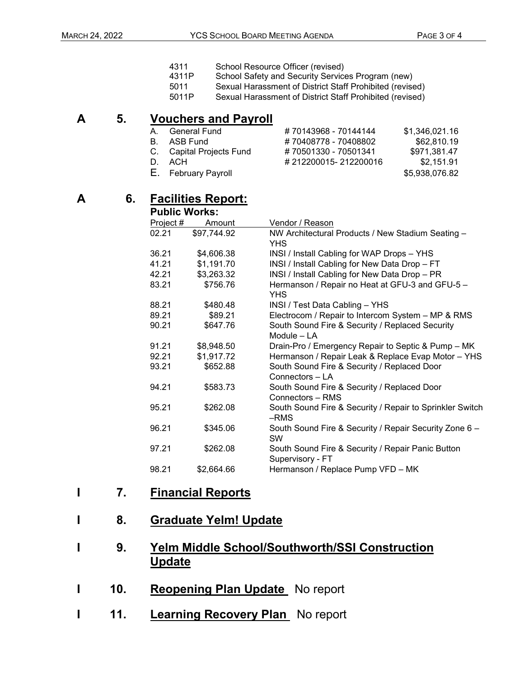- 4311 School Resource Officer (revised)
- 4311P School Safety and Security Services Program (new)
- 5011 Sexual Harassment of District Staff Prohibited (revised)
- 5011P Sexual Harassment of District Staff Prohibited (revised)

## **A** 5. **Vouchers and Payroll**<br>A. General Fund

- A. General Fund  $\begin{array}{r} 4.43968 70144144 + 51,346,021.16 \\ 4.51408778 70408802 \end{array}$ B. ASB Fund  $\begin{array}{r} 470408778 - 70408802 \\ + 70501330 - 70501341 \end{array}$ \$62,810.19<br>C. Capital Projects Fund  $\begin{array}{r} 470501330 - 70501341 \end{array}$ Capital Projects Fund D. ACH # 212200015- 212200016 \$2,151.91
	-

| U. Uapital Filologis Fullu | $H$ 1 UUU 1 UUU 1 UUU 1 UH 1 | 1 <del>.</del> |
|----------------------------|------------------------------|----------------|
| D. ACH                     | #212200015-212200016         | \$2,151.91     |
| E. February Payroll        |                              | \$5,938,076.82 |
|                            |                              |                |

#### **A 6. Facilities Report:**

| <b>Public Works:</b> |             |                                                          |
|----------------------|-------------|----------------------------------------------------------|
| Project #            | Amount      | Vendor / Reason                                          |
| 02.21                | \$97,744.92 | NW Architectural Products / New Stadium Seating -        |
|                      |             | <b>YHS</b>                                               |
| 36.21                | \$4,606.38  | INSI / Install Cabling for WAP Drops - YHS               |
| 41.21                | \$1,191.70  | INSI / Install Cabling for New Data Drop - FT            |
| 42.21                | \$3,263.32  | INSI / Install Cabling for New Data Drop - PR            |
| 83.21                | \$756.76    | Hermanson / Repair no Heat at GFU-3 and GFU-5 -          |
|                      |             | <b>YHS</b>                                               |
| 88.21                | \$480.48    | INSI / Test Data Cabling - YHS                           |
| 89.21                | \$89.21     | Electrocom / Repair to Intercom System - MP & RMS        |
| 90.21                | \$647.76    | South Sound Fire & Security / Replaced Security          |
|                      |             | Module - LA                                              |
| 91.21                | \$8,948.50  | Drain-Pro / Emergency Repair to Septic & Pump - MK       |
| 92.21                | \$1,917.72  | Hermanson / Repair Leak & Replace Evap Motor - YHS       |
| 93.21                | \$652.88    | South Sound Fire & Security / Replaced Door              |
|                      |             | Connectors - LA                                          |
| 94.21                | \$583.73    | South Sound Fire & Security / Replaced Door              |
|                      |             | Connectors - RMS                                         |
| 95.21                | \$262.08    | South Sound Fire & Security / Repair to Sprinkler Switch |
|                      |             | -RMS                                                     |
| 96.21                | \$345.06    | South Sound Fire & Security / Repair Security Zone 6 -   |
|                      |             | <b>SW</b>                                                |
| 97.21                | \$262.08    | South Sound Fire & Security / Repair Panic Button        |
|                      |             | Supervisory - FT                                         |
| 98.21                | \$2,664.66  | Hermanson / Replace Pump VFD - MK                        |

#### **I 7. Financial Reports**

#### **I 8. Graduate Yelm! Update**

### **I 9. Yelm Middle School/Southworth/SSI Construction Update**

- **1 10. Reopening Plan Update** No report
- **1 11.** Learning Recovery Plan No report